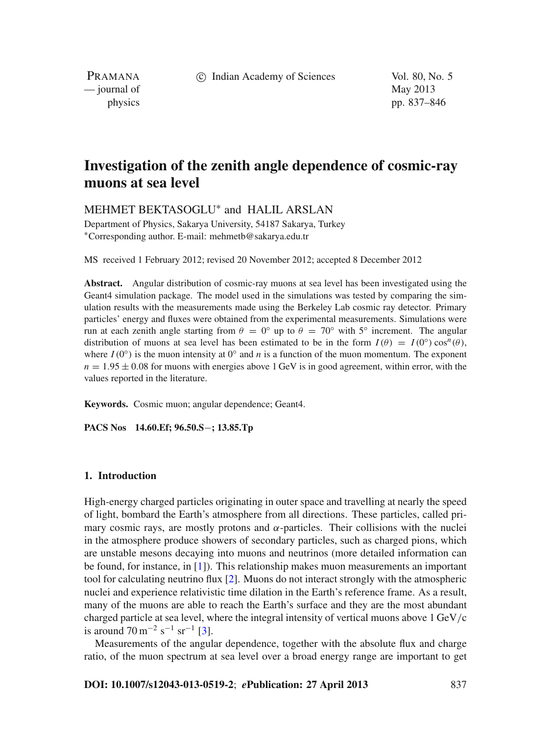c Indian Academy of Sciences Vol. 80, No. 5

PRAMANA — journal of May 2013

physics pp. 837–846

# **Investigation of the zenith angle dependence of cosmic-ray muons at sea level**

MEHMET BEKTASOGLU<sup>∗</sup> and HALIL ARSLAN

Department of Physics, Sakarya University, 54187 Sakarya, Turkey <sup>∗</sup>Corresponding author. E-mail: mehmetb@sakarya.edu.tr

MS received 1 February 2012; revised 20 November 2012; accepted 8 December 2012

**Abstract.** Angular distribution of cosmic-ray muons at sea level has been investigated using the Geant4 simulation package. The model used in the simulations was tested by comparing the simulation results with the measurements made using the Berkeley Lab cosmic ray detector. Primary particles' energy and fluxes were obtained from the experimental measurements. Simulations were run at each zenith angle starting from  $\theta = 0^\circ$  up to  $\theta = 70^\circ$  with 5° increment. The angular distribution of muons at sea level has been estimated to be in the form  $I(\theta) = I(0°) \cos^{n}(\theta)$ , where  $I(0°)$  is the muon intensity at  $0°$  and *n* is a function of the muon momentum. The exponent  $n = 1.95 \pm 0.08$  for muons with energies above 1 GeV is in good agreement, within error, with the values reported in the literature.

**Keywords.** Cosmic muon; angular dependence; Geant4.

**PACS Nos 14.60.Ef; 96.50.S**−**; 13.85.Tp**

## **1. Introduction**

High-energy charged particles originating in outer space and travelling at nearly the speed of light, bombard the Earth's atmosphere from all directions. These particles, called primary cosmic rays, are mostly protons and  $\alpha$ -particles. Their collisions with the nuclei in the atmosphere produce showers of secondary particles, such as charged pions, which are unstable mesons decaying into muons and neutrinos (more detailed information can be found, for instance, in [\[1\]](#page-8-0)). This relationship makes muon measurements an important tool for calculating neutrino flux [\[2\]](#page-8-1). Muons do not interact strongly with the atmospheric nuclei and experience relativistic time dilation in the Earth's reference frame. As a result, many of the muons are able to reach the Earth's surface and they are the most abundant charged particle at sea level, where the integral intensity of vertical muons above 1 GeV/c is around  $70 \,\mathrm{m}^{-2} \,\mathrm{s}^{-1} \,\mathrm{sr}^{-1}$  [\[3\]](#page-8-2).

Measurements of the angular dependence, together with the absolute flux and charge ratio, of the muon spectrum at sea level over a broad energy range are important to get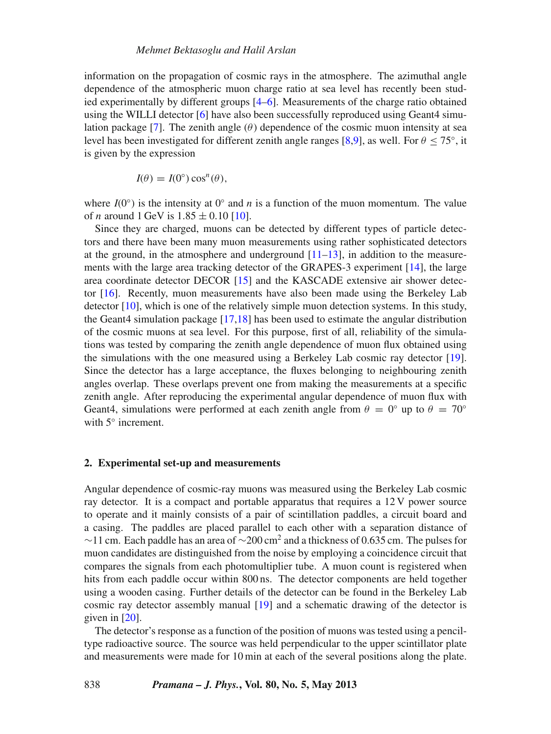information on the propagation of cosmic rays in the atmosphere. The azimuthal angle dependence of the atmospheric muon charge ratio at sea level has recently been studied experimentally by different groups [\[4](#page-8-3)[–6](#page-8-4)]. Measurements of the charge ratio obtained using the WILLI detector [\[6\]](#page-8-4) have also been successfully reproduced using Geant4 simu-lation package [\[7\]](#page-8-5). The zenith angle  $(\theta)$  dependence of the cosmic muon intensity at sea level has been investigated for different zenith angle ranges [\[8](#page-8-6)[,9](#page-8-7)], as well. For  $\theta \le 75^{\circ}$ , it is given by the expression

$$
I(\theta) = I(0^{\circ}) \cos^{n}(\theta),
$$

where  $I(0°)$  is the intensity at  $0°$  and *n* is a function of the muon momentum. The value of *n* around 1 GeV is  $1.85 \pm 0.10$  [\[10](#page-8-8)].

Since they are charged, muons can be detected by different types of particle detectors and there have been many muon measurements using rather sophisticated detectors at the ground, in the atmosphere and underground  $[11–13]$  $[11–13]$  $[11–13]$ , in addition to the measurements with the large area tracking detector of the GRAPES-3 experiment [\[14\]](#page-8-11), the large area coordinate detector DECOR [\[15\]](#page-8-12) and the KASCADE extensive air shower detector [\[16\]](#page-8-13). Recently, muon measurements have also been made using the Berkeley Lab detector [\[10\]](#page-8-8), which is one of the relatively simple muon detection systems. In this study, the Geant4 simulation package [\[17](#page-8-14)[,18\]](#page-8-15) has been used to estimate the angular distribution of the cosmic muons at sea level. For this purpose, first of all, reliability of the simulations was tested by comparing the zenith angle dependence of muon flux obtained using the simulations with the one measured using a Berkeley Lab cosmic ray detector [\[19](#page-9-0)]. Since the detector has a large acceptance, the fluxes belonging to neighbouring zenith angles overlap. These overlaps prevent one from making the measurements at a specific zenith angle. After reproducing the experimental angular dependence of muon flux with Geant4, simulations were performed at each zenith angle from  $\theta = 0^\circ$  up to  $\theta = 70^\circ$ with 5<sup>°</sup> increment.

#### **2. Experimental set-up and measurements**

Angular dependence of cosmic-ray muons was measured using the Berkeley Lab cosmic ray detector. It is a compact and portable apparatus that requires a 12 V power source to operate and it mainly consists of a pair of scintillation paddles, a circuit board and a casing. The paddles are placed parallel to each other with a separation distance of  $\sim$ 11 cm. Each paddle has an area of  $\sim$ 200 cm<sup>2</sup> and a thickness of 0.635 cm. The pulses for muon candidates are distinguished from the noise by employing a coincidence circuit that compares the signals from each photomultiplier tube. A muon count is registered when hits from each paddle occur within 800 ns. The detector components are held together using a wooden casing. Further details of the detector can be found in the Berkeley Lab cosmic ray detector assembly manual [\[19](#page-9-0)] and a schematic drawing of the detector is given in [\[20\]](#page-9-1).

The detector's response as a function of the position of muons was tested using a penciltype radioactive source. The source was held perpendicular to the upper scintillator plate and measurements were made for 10 min at each of the several positions along the plate.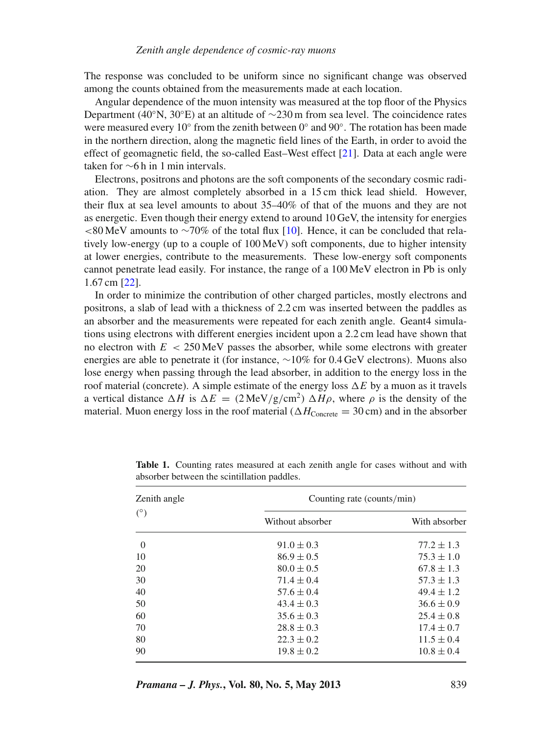The response was concluded to be uniform since no significant change was observed among the counts obtained from the measurements made at each location.

Angular dependence of the muon intensity was measured at the top floor of the Physics Department (40°N, 30°E) at an altitude of  $\sim$ 230 m from sea level. The coincidence rates were measured every 10 $\degree$  from the zenith between 0 $\degree$  and 90 $\degree$ . The rotation has been made in the northern direction, along the magnetic field lines of the Earth, in order to avoid the effect of geomagnetic field, the so-called East–West effect [\[21\]](#page-9-2). Data at each angle were taken for ∼6 h in 1 min intervals.

Electrons, positrons and photons are the soft components of the secondary cosmic radiation. They are almost completely absorbed in a 15 cm thick lead shield. However, their flux at sea level amounts to about 35–40% of that of the muons and they are not as energetic. Even though their energy extend to around 10 GeV, the intensity for energies <80 MeV amounts to ∼70% of the total flux [\[10\]](#page-8-8). Hence, it can be concluded that relatively low-energy (up to a couple of 100 MeV) soft components, due to higher intensity at lower energies, contribute to the measurements. These low-energy soft components cannot penetrate lead easily. For instance, the range of a 100 MeV electron in Pb is only 1.67 cm [\[22\]](#page-9-3).

In order to minimize the contribution of other charged particles, mostly electrons and positrons, a slab of lead with a thickness of 2.2 cm was inserted between the paddles as an absorber and the measurements were repeated for each zenith angle. Geant4 simulations using electrons with different energies incident upon a 2.2 cm lead have shown that no electron with  $E < 250$  MeV passes the absorber, while some electrons with greater energies are able to penetrate it (for instance, ∼10% for 0.4 GeV electrons). Muons also lose energy when passing through the lead absorber, in addition to the energy loss in the roof material (concrete). A simple estimate of the energy loss  $\Delta E$  by a muon as it travels a vertical distance  $\Delta H$  is  $\Delta E = (2 \text{ MeV/g/cm}^2) \Delta H \rho$ , where  $\rho$  is the density of the material. Muon energy loss in the roof material ( $\Delta H_{\text{Concrete}} = 30 \text{ cm}$ ) and in the absorber

| Zenith angle<br>$(^\circ)$ | Counting rate (counts/min) |                |
|----------------------------|----------------------------|----------------|
|                            | Without absorber           | With absorber  |
| $\overline{0}$             | $91.0 \pm 0.3$             | $77.2 \pm 1.3$ |
| 10                         | $86.9 \pm 0.5$             | $75.3 \pm 1.0$ |
| 20                         | $80.0 \pm 0.5$             | $67.8 \pm 1.3$ |
| 30                         | $71.4 \pm 0.4$             | $57.3 \pm 1.3$ |
| 40                         | $57.6 \pm 0.4$             | $49.4 \pm 1.2$ |
| 50                         | $43.4 \pm 0.3$             | $36.6 \pm 0.9$ |
| 60                         | $35.6 \pm 0.3$             | $25.4 \pm 0.8$ |
| 70                         | $28.8 \pm 0.3$             | $17.4 \pm 0.7$ |
| 80                         | $22.3 \pm 0.2$             | $11.5 \pm 0.4$ |
| 90                         | $19.8 \pm 0.2$             | $10.8 \pm 0.4$ |

<span id="page-2-0"></span>**Table 1.** Counting rates measured at each zenith angle for cases without and with absorber between the scintillation paddles.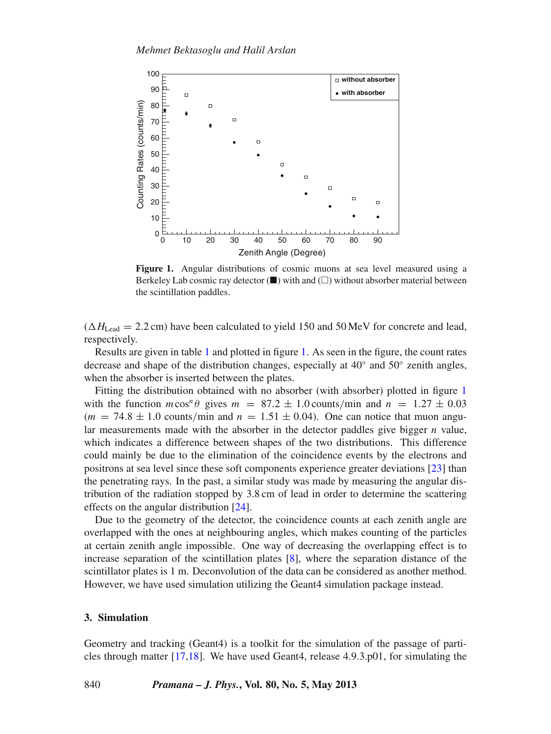<span id="page-3-0"></span>

**Figure 1.** Angular distributions of cosmic muons at sea level measured using a Berkeley Lab cosmic ray detector  $(\blacksquare)$  with and  $(\square)$  without absorber material between the scintillation paddles.

 $(\Delta H_{\text{lead}} = 2.2 \text{ cm})$  have been calculated to yield 150 and 50 MeV for concrete and lead, respectively.

Results are given in table [1](#page-2-0) and plotted in figure [1.](#page-3-0) As seen in the figure, the count rates decrease and shape of the distribution changes, especially at  $40°$  and  $50°$  zenith angles, when the absorber is inserted between the plates.

Fitting the distribution obtained with no absorber (with absorber) plotted in figure [1](#page-3-0) with the function  $m\cos^n\theta$  gives  $m = 87.2 \pm 1.0$  counts/min and  $n = 1.27 \pm 0.03$  $(m = 74.8 \pm 1.0 \text{ counts/min}$  and  $n = 1.51 \pm 0.04$ ). One can notice that muon angular measurements made with the absorber in the detector paddles give bigger *n* value, which indicates a difference between shapes of the two distributions. This difference could mainly be due to the elimination of the coincidence events by the electrons and positrons at sea level since these soft components experience greater deviations [\[23](#page-9-4)] than the penetrating rays. In the past, a similar study was made by measuring the angular distribution of the radiation stopped by 3.8 cm of lead in order to determine the scattering effects on the angular distribution [\[24\]](#page-9-5).

Due to the geometry of the detector, the coincidence counts at each zenith angle are overlapped with the ones at neighbouring angles, which makes counting of the particles at certain zenith angle impossible. One way of decreasing the overlapping effect is to increase separation of the scintillation plates [\[8](#page-8-6)], where the separation distance of the scintillator plates is 1 m. Deconvolution of the data can be considered as another method. However, we have used simulation utilizing the Geant4 simulation package instead.

# **3. Simulation**

Geometry and tracking (Geant4) is a toolkit for the simulation of the passage of particles through matter [\[17](#page-8-14)[,18](#page-8-15)]. We have used Geant4, release 4.9.3.p01, for simulating the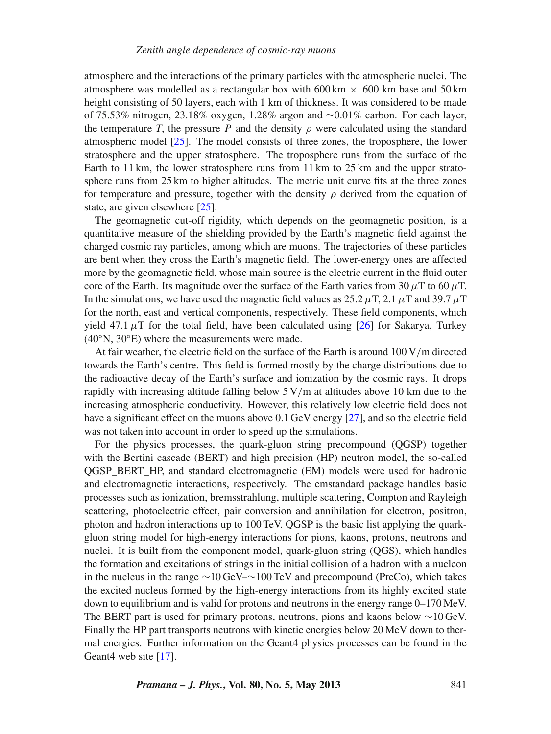atmosphere and the interactions of the primary particles with the atmospheric nuclei. The atmosphere was modelled as a rectangular box with 600 km  $\times$  600 km base and 50 km height consisting of 50 layers, each with 1 km of thickness. It was considered to be made of 75.53% nitrogen, 23.18% oxygen, 1.28% argon and ∼0.01% carbon. For each layer, the temperature *T*, the pressure *P* and the density  $\rho$  were calculated using the standard atmospheric model [\[25](#page-9-6)]. The model consists of three zones, the troposphere, the lower stratosphere and the upper stratosphere. The troposphere runs from the surface of the Earth to 11 km, the lower stratosphere runs from 11 km to 25 km and the upper stratosphere runs from 25 km to higher altitudes. The metric unit curve fits at the three zones for temperature and pressure, together with the density  $\rho$  derived from the equation of state, are given elsewhere [\[25](#page-9-6)].

The geomagnetic cut-off rigidity, which depends on the geomagnetic position, is a quantitative measure of the shielding provided by the Earth's magnetic field against the charged cosmic ray particles, among which are muons. The trajectories of these particles are bent when they cross the Earth's magnetic field. The lower-energy ones are affected more by the geomagnetic field, whose main source is the electric current in the fluid outer core of the Earth. Its magnitude over the surface of the Earth varies from 30  $\mu$ T to 60  $\mu$ T. In the simulations, we have used the magnetic field values as  $25.2 \mu T$ ,  $2.1 \mu T$  and  $39.7 \mu T$ for the north, east and vertical components, respectively. These field components, which yield 47.1  $\mu$ T for the total field, have been calculated using [\[26\]](#page-9-7) for Sakarya, Turkey  $(40°N, 30°E)$  where the measurements were made.

At fair weather, the electric field on the surface of the Earth is around  $100 \text{ V/m}$  directed towards the Earth's centre. This field is formed mostly by the charge distributions due to the radioactive decay of the Earth's surface and ionization by the cosmic rays. It drops rapidly with increasing altitude falling below  $5 \text{ V/m}$  at altitudes above 10 km due to the increasing atmospheric conductivity. However, this relatively low electric field does not have a significant effect on the muons above 0.1 GeV energy [\[27\]](#page-9-8), and so the electric field was not taken into account in order to speed up the simulations.

For the physics processes, the quark-gluon string precompound (QGSP) together with the Bertini cascade (BERT) and high precision (HP) neutron model, the so-called QGSP\_BERT\_HP, and standard electromagnetic (EM) models were used for hadronic and electromagnetic interactions, respectively. The emstandard package handles basic processes such as ionization, bremsstrahlung, multiple scattering, Compton and Rayleigh scattering, photoelectric effect, pair conversion and annihilation for electron, positron, photon and hadron interactions up to 100 TeV. QGSP is the basic list applying the quarkgluon string model for high-energy interactions for pions, kaons, protons, neutrons and nuclei. It is built from the component model, quark-gluon string (QGS), which handles the formation and excitations of strings in the initial collision of a hadron with a nucleon in the nucleus in the range ∼10 GeV–∼100 TeV and precompound (PreCo), which takes the excited nucleus formed by the high-energy interactions from its highly excited state down to equilibrium and is valid for protons and neutrons in the energy range 0–170 MeV. The BERT part is used for primary protons, neutrons, pions and kaons below ∼10 GeV. Finally the HP part transports neutrons with kinetic energies below 20 MeV down to thermal energies. Further information on the Geant4 physics processes can be found in the Geant4 web site [\[17\]](#page-8-14).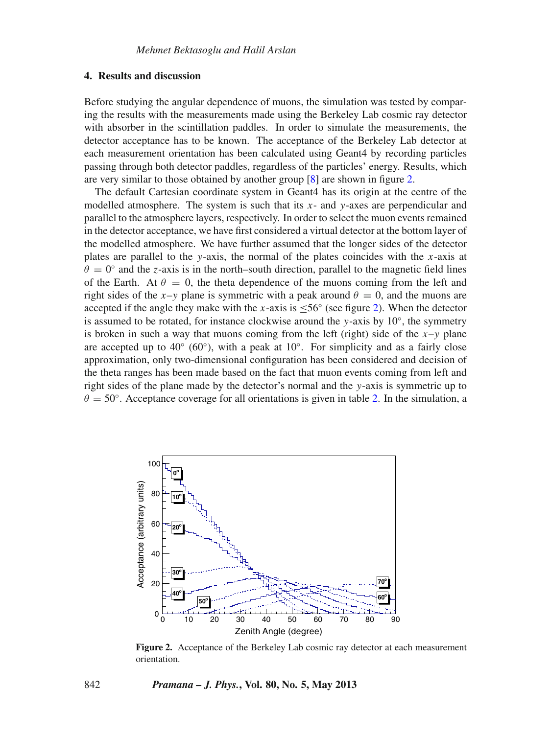#### **4. Results and discussion**

Before studying the angular dependence of muons, the simulation was tested by comparing the results with the measurements made using the Berkeley Lab cosmic ray detector with absorber in the scintillation paddles. In order to simulate the measurements, the detector acceptance has to be known. The acceptance of the Berkeley Lab detector at each measurement orientation has been calculated using Geant4 by recording particles passing through both detector paddles, regardless of the particles' energy. Results, which are very similar to those obtained by another group [\[8](#page-8-6)] are shown in figure [2.](#page-5-0)

The default Cartesian coordinate system in Geant4 has its origin at the centre of the modelled atmosphere. The system is such that its *x*- and *y*-axes are perpendicular and parallel to the atmosphere layers, respectively. In order to select the muon events remained in the detector acceptance, we have first considered a virtual detector at the bottom layer of the modelled atmosphere. We have further assumed that the longer sides of the detector plates are parallel to the *y*-axis, the normal of the plates coincides with the *x*-axis at  $\theta = 0^\circ$  and the *z*-axis is in the north–south direction, parallel to the magnetic field lines of the Earth. At  $\theta = 0$ , the theta dependence of the muons coming from the left and right sides of the *x*–*y* plane is symmetric with a peak around  $\theta = 0$ , and the muons are accepted if the angle they make with the *x*-axis is  $\leq 56\degree$  (see figure [2\)](#page-5-0). When the detector is assumed to be rotated, for instance clockwise around the *y*-axis by  $10°$ , the symmetry is broken in such a way that muons coming from the left (right) side of the  $x-y$  plane are accepted up to 40 $\degree$  (60 $\degree$ ), with a peak at 10 $\degree$ . For simplicity and as a fairly close approximation, only two-dimensional configuration has been considered and decision of the theta ranges has been made based on the fact that muon events coming from left and right sides of the plane made by the detector's normal and the *y*-axis is symmetric up to  $\theta = 50^\circ$ . Acceptance coverage for all orientations is given in table [2.](#page-6-0) In the simulation, a

<span id="page-5-0"></span>

**Figure 2.** Acceptance of the Berkeley Lab cosmic ray detector at each measurement orientation.

#### 842 *Pramana – J. Phys.***, Vol. 80, No. 5, May 2013**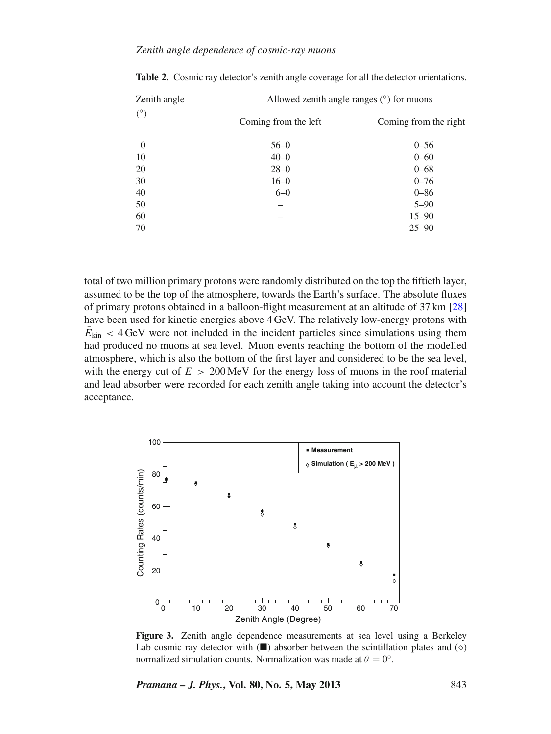#### *Zenith angle dependence of cosmic-ray muons*

| Zenith angle<br>$(^\circ)$ | Allowed zenith angle ranges $(°)$ for muons |                       |
|----------------------------|---------------------------------------------|-----------------------|
|                            | Coming from the left                        | Coming from the right |
| $\overline{0}$             | $56 - 0$                                    | $0 - 56$              |
| 10                         | $40 - 0$                                    | $0 - 60$              |
| 20                         | $28 - 0$                                    | $0 - 68$              |
| 30                         | $16 - 0$                                    | $0 - 76$              |
| 40                         | $6 - 0$                                     | $0 - 86$              |
| 50                         |                                             | $5 - 90$              |
| 60                         |                                             | $15 - 90$             |
| 70                         |                                             | $25 - 90$             |

<span id="page-6-0"></span>**Table 2.** Cosmic ray detector's zenith angle coverage for all the detector orientations.

total of two million primary protons were randomly distributed on the top the fiftieth layer, assumed to be the top of the atmosphere, towards the Earth's surface. The absolute fluxes of primary protons obtained in a balloon-flight measurement at an altitude of 37 km [\[28\]](#page-9-9) have been used for kinetic energies above 4 GeV. The relatively low-energy protons with  $\bar{E}_{\text{kin}} < 4$  GeV were not included in the incident particles since simulations using them had produced no muons at sea level. Muon events reaching the bottom of the modelled atmosphere, which is also the bottom of the first layer and considered to be the sea level, with the energy cut of  $E > 200 \,\text{MeV}$  for the energy loss of muons in the roof material and lead absorber were recorded for each zenith angle taking into account the detector's acceptance.

<span id="page-6-1"></span>

**Figure 3.** Zenith angle dependence measurements at sea level using a Berkeley Lab cosmic ray detector with  $(\blacksquare)$  absorber between the scintillation plates and  $(\diamond)$ normalized simulation counts. Normalization was made at  $\theta = 0^\circ$ .

*Pramana – J. Phys.***, Vol. 80, No. 5, May 2013** 843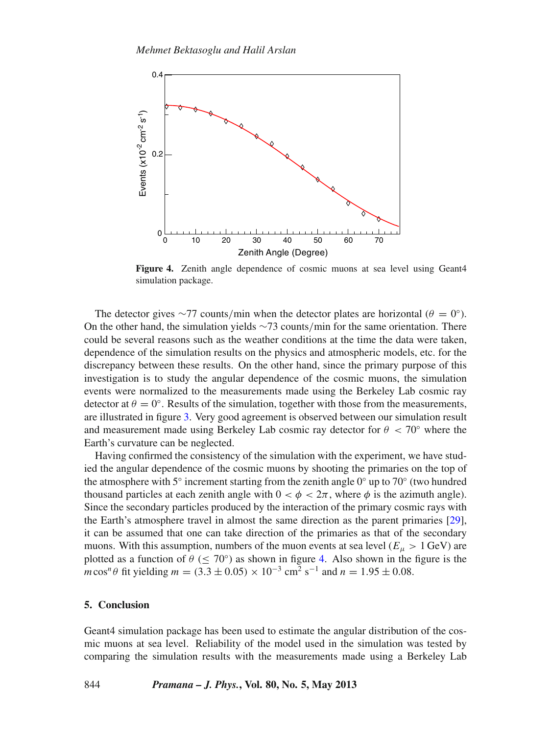<span id="page-7-0"></span>

**Figure 4.** Zenith angle dependence of cosmic muons at sea level using Geant4 simulation package.

The detector gives ∼77 counts/min when the detector plates are horizontal ( $\theta = 0^\circ$ ). On the other hand, the simulation yields ∼73 counts/min for the same orientation. There could be several reasons such as the weather conditions at the time the data were taken, dependence of the simulation results on the physics and atmospheric models, etc. for the discrepancy between these results. On the other hand, since the primary purpose of this investigation is to study the angular dependence of the cosmic muons, the simulation events were normalized to the measurements made using the Berkeley Lab cosmic ray detector at  $\theta = 0^\circ$ . Results of the simulation, together with those from the measurements, are illustrated in figure [3.](#page-6-1) Very good agreement is observed between our simulation result and measurement made using Berkeley Lab cosmic ray detector for  $\theta < 70^{\circ}$  where the Earth's curvature can be neglected.

Having confirmed the consistency of the simulation with the experiment, we have studied the angular dependence of the cosmic muons by shooting the primaries on the top of the atmosphere with 5° increment starting from the zenith angle  $0°$  up to 70° (two hundred thousand particles at each zenith angle with  $0 < \phi < 2\pi$ , where  $\phi$  is the azimuth angle). Since the secondary particles produced by the interaction of the primary cosmic rays with the Earth's atmosphere travel in almost the same direction as the parent primaries [\[29](#page-9-10)], it can be assumed that one can take direction of the primaries as that of the secondary muons. With this assumption, numbers of the muon events at sea level ( $E<sub>\mu</sub> > 1$  GeV) are plotted as a function of  $\theta$  ( $\leq$  70°) as shown in figure [4.](#page-7-0) Also shown in the figure is the  $m\cos^n\theta$  fit yielding  $m = (3.3 \pm 0.05) \times 10^{-3}$  cm<sup>2</sup> s<sup>-1</sup> and  $n = 1.95 \pm 0.08$ .

## **5. Conclusion**

Geant4 simulation package has been used to estimate the angular distribution of the cosmic muons at sea level. Reliability of the model used in the simulation was tested by comparing the simulation results with the measurements made using a Berkeley Lab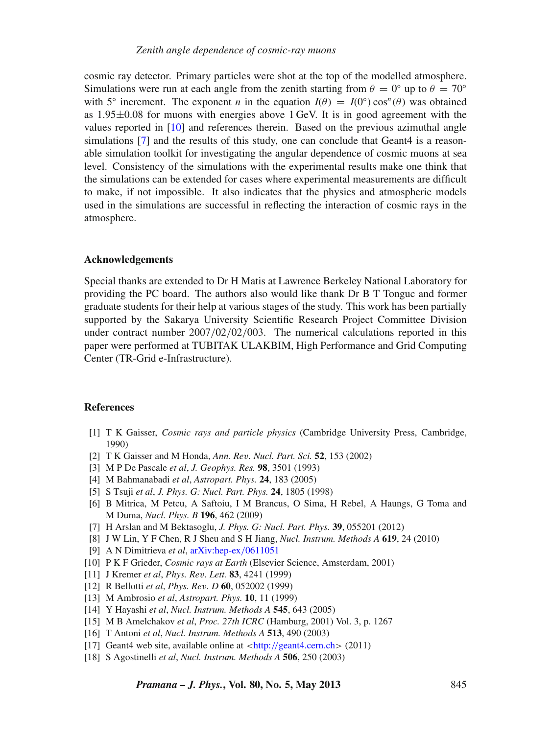cosmic ray detector. Primary particles were shot at the top of the modelled atmosphere. Simulations were run at each angle from the zenith starting from  $\theta = 0^\circ$  up to  $\theta = 70^\circ$ with 5<sup>°</sup> increment. The exponent *n* in the equation  $I(\theta) = I(0°) \cos^{n}(\theta)$  was obtained as  $1.95\pm0.08$  for muons with energies above 1 GeV. It is in good agreement with the values reported in [\[10\]](#page-8-8) and references therein. Based on the previous azimuthal angle simulations [\[7\]](#page-8-5) and the results of this study, one can conclude that Geant4 is a reasonable simulation toolkit for investigating the angular dependence of cosmic muons at sea level. Consistency of the simulations with the experimental results make one think that the simulations can be extended for cases where experimental measurements are difficult to make, if not impossible. It also indicates that the physics and atmospheric models used in the simulations are successful in reflecting the interaction of cosmic rays in the atmosphere.

#### **Acknowledgements**

Special thanks are extended to Dr H Matis at Lawrence Berkeley National Laboratory for providing the PC board. The authors also would like thank Dr B T Tonguc and former graduate students for their help at various stages of the study. This work has been partially supported by the Sakarya University Scientific Research Project Committee Division under contract number 2007/02/02/003. The numerical calculations reported in this paper were performed at TUBITAK ULAKBIM, High Performance and Grid Computing Center (TR-Grid e-Infrastructure).

# **References**

- <span id="page-8-0"></span>[1] T K Gaisser, *Cosmic rays and particle physics* (Cambridge University Press, Cambridge, 1990)
- <span id="page-8-1"></span>[2] T K Gaisser and M Honda, *Ann. Re*v*. Nucl. Part. Sci.* **52**, 153 (2002)
- <span id="page-8-2"></span>[3] M P De Pascale *et al*, *J. Geophys. Res.* **98**, 3501 (1993)
- <span id="page-8-3"></span>[4] M Bahmanabadi *et al*, *Astropart. Phys.* **24**, 183 (2005)
- [5] S Tsuji *et al*, *J. Phys. G: Nucl. Part. Phys.* **24**, 1805 (1998)
- <span id="page-8-4"></span>[6] B Mitrica, M Petcu, A Saftoiu, I M Brancus, O Sima, H Rebel, A Haungs, G Toma and M Duma, *Nucl. Phys. B* **196**, 462 (2009)
- <span id="page-8-5"></span>[7] H Arslan and M Bektasoglu, *J. Phys. G: Nucl. Part. Phys.* **39**, 055201 (2012)
- <span id="page-8-6"></span>[8] J W Lin, Y F Chen, R J Sheu and S H Jiang, *Nucl. Instrum. Methods A* **619**, 24 (2010)
- <span id="page-8-7"></span>[9] A N Dimitrieva *et al*, [arXiv:hep-ex](http://arXiv.org/hep-ex/0611051)/0611051
- <span id="page-8-8"></span>[10] P K F Grieder, *Cosmic rays at Earth* (Elsevier Science, Amsterdam, 2001)
- <span id="page-8-9"></span>[11] J Kremer *et al*, *Phys. Re*v*. Lett.* **83**, 4241 (1999)
- [12] R Bellotti *et al*, *Phys. Re*v*. D* **60**, 052002 (1999)
- <span id="page-8-10"></span>[13] M Ambrosio *et al*, *Astropart. Phys.* **10**, 11 (1999)
- <span id="page-8-11"></span>[14] Y Hayashi *et al*, *Nucl. Instrum. Methods A* **545**, 643 (2005)
- <span id="page-8-12"></span>[15] M B Amelchakov *et al*, *Proc. 27th ICRC* (Hamburg, 2001) Vol. 3, p. 1267
- <span id="page-8-13"></span>[16] T Antoni *et al*, *Nucl. Instrum. Methods A* **513**, 490 (2003)
- <span id="page-8-14"></span>[17] Geant4 web site, available online at <http://[geant4.cern.ch](http://geant4.cern.ch)> (2011)
- <span id="page-8-15"></span>[18] S Agostinelli *et al*, *Nucl. Instrum. Methods A* **506**, 250 (2003)